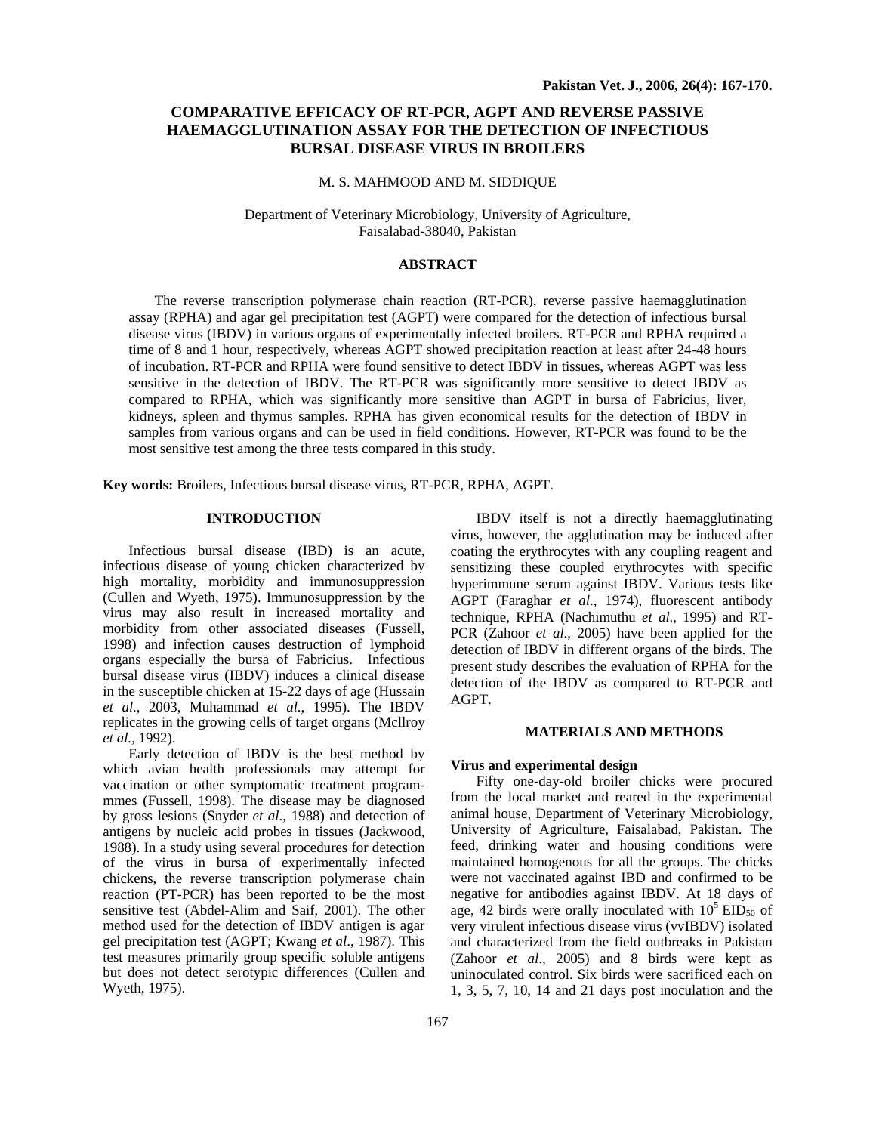# **COMPARATIVE EFFICACY OF RT-PCR, AGPT AND REVERSE PASSIVE HAEMAGGLUTINATION ASSAY FOR THE DETECTION OF INFECTIOUS BURSAL DISEASE VIRUS IN BROILERS**

### M. S. MAHMOOD AND M. SIDDIQUE

Department of Veterinary Microbiology, University of Agriculture, Faisalabad-38040, Pakistan

## **ABSTRACT**

The reverse transcription polymerase chain reaction (RT-PCR), reverse passive haemagglutination assay (RPHA) and agar gel precipitation test (AGPT) were compared for the detection of infectious bursal disease virus (IBDV) in various organs of experimentally infected broilers. RT-PCR and RPHA required a time of 8 and 1 hour, respectively, whereas AGPT showed precipitation reaction at least after 24-48 hours of incubation. RT-PCR and RPHA were found sensitive to detect IBDV in tissues, whereas AGPT was less sensitive in the detection of IBDV. The RT-PCR was significantly more sensitive to detect IBDV as compared to RPHA, which was significantly more sensitive than AGPT in bursa of Fabricius, liver, kidneys, spleen and thymus samples. RPHA has given economical results for the detection of IBDV in samples from various organs and can be used in field conditions. However, RT-PCR was found to be the most sensitive test among the three tests compared in this study.

**Key words:** Broilers, Infectious bursal disease virus, RT-PCR, RPHA, AGPT.

## **INTRODUCTION**

Infectious bursal disease (IBD) is an acute, infectious disease of young chicken characterized by high mortality, morbidity and immunosuppression (Cullen and Wyeth, 1975). Immunosuppression by the virus may also result in increased mortality and morbidity from other associated diseases (Fussell, 1998) and infection causes destruction of lymphoid organs especially the bursa of Fabricius. Infectious bursal disease virus (IBDV) induces a clinical disease in the susceptible chicken at 15-22 days of age (Hussain *et al*., 2003, Muhammad *et al*., 1995). The IBDV replicates in the growing cells of target organs (Mcllroy *et al.,* 1992).

Early detection of IBDV is the best method by which avian health professionals may attempt for vaccination or other symptomatic treatment programmmes (Fussell, 1998). The disease may be diagnosed by gross lesions (Snyder *et al*., 1988) and detection of antigens by nucleic acid probes in tissues (Jackwood, 1988). In a study using several procedures for detection of the virus in bursa of experimentally infected chickens, the reverse transcription polymerase chain reaction (PT-PCR) has been reported to be the most sensitive test (Abdel-Alim and Saif, 2001). The other method used for the detection of IBDV antigen is agar gel precipitation test (AGPT; Kwang *et al*., 1987). This test measures primarily group specific soluble antigens but does not detect serotypic differences (Cullen and Wyeth, 1975).

IBDV itself is not a directly haemagglutinating virus, however, the agglutination may be induced after coating the erythrocytes with any coupling reagent and sensitizing these coupled erythrocytes with specific hyperimmune serum against IBDV. Various tests like AGPT (Faraghar *et al*., 1974), fluorescent antibody technique, RPHA (Nachimuthu *et al*., 1995) and RT-PCR (Zahoor *et al*., 2005) have been applied for the detection of IBDV in different organs of the birds. The present study describes the evaluation of RPHA for the detection of the IBDV as compared to RT-PCR and AGPT.

## **MATERIALS AND METHODS**

## **Virus and experimental design**

Fifty one-day-old broiler chicks were procured from the local market and reared in the experimental animal house, Department of Veterinary Microbiology, University of Agriculture, Faisalabad, Pakistan. The feed, drinking water and housing conditions were maintained homogenous for all the groups. The chicks were not vaccinated against IBD and confirmed to be negative for antibodies against IBDV. At 18 days of age, 42 birds were orally inoculated with  $10^5$  EID<sub>50</sub> of very virulent infectious disease virus (vvIBDV) isolated and characterized from the field outbreaks in Pakistan (Zahoor *et al*., 2005) and 8 birds were kept as uninoculated control. Six birds were sacrificed each on 1, 3, 5, 7, 10, 14 and 21 days post inoculation and the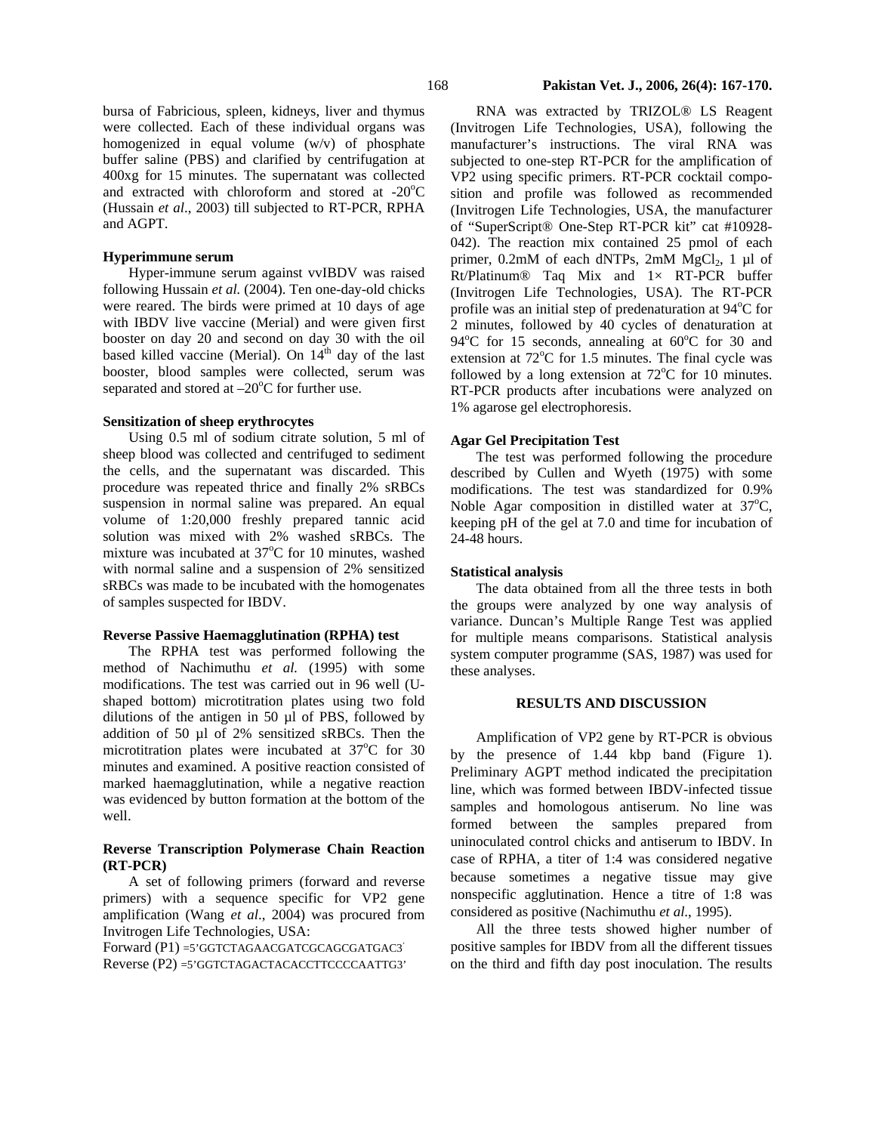bursa of Fabricious, spleen, kidneys, liver and thymus were collected. Each of these individual organs was homogenized in equal volume (w/v) of phosphate buffer saline (PBS) and clarified by centrifugation at 400xg for 15 minutes. The supernatant was collected and extracted with chloroform and stored at  $-20^{\circ}$ C (Hussain *et al*., 2003) till subjected to RT-PCR, RPHA and AGPT.

#### **Hyperimmune serum**

Hyper-immune serum against vvIBDV was raised following Hussain *et al.* (2004). Ten one-day-old chicks were reared. The birds were primed at 10 days of age with IBDV live vaccine (Merial) and were given first booster on day 20 and second on day 30 with the oil based killed vaccine (Merial). On  $14^{th}$  day of the last booster, blood samples were collected, serum was separated and stored at  $-20^{\circ}$ C for further use.

## **Sensitization of sheep erythrocytes**

Using 0.5 ml of sodium citrate solution, 5 ml of sheep blood was collected and centrifuged to sediment the cells, and the supernatant was discarded. This procedure was repeated thrice and finally 2% sRBCs suspension in normal saline was prepared. An equal volume of 1:20,000 freshly prepared tannic acid solution was mixed with 2% washed sRBCs. The mixture was incubated at 37°C for 10 minutes, washed with normal saline and a suspension of 2% sensitized sRBCs was made to be incubated with the homogenates of samples suspected for IBDV.

## **Reverse Passive Haemagglutination (RPHA) test**

The RPHA test was performed following the method of Nachimuthu *et al.* (1995) with some modifications. The test was carried out in 96 well (Ushaped bottom) microtitration plates using two fold dilutions of the antigen in 50 µl of PBS, followed by addition of 50 µl of 2% sensitized sRBCs. Then the microtitration plates were incubated at  $37^{\circ}$ C for 30 minutes and examined. A positive reaction consisted of marked haemagglutination, while a negative reaction was evidenced by button formation at the bottom of the well.

## **Reverse Transcription Polymerase Chain Reaction (RT-PCR)**

A set of following primers (forward and reverse primers) with a sequence specific for VP2 gene amplification (Wang *et al*., 2004) was procured from Invitrogen Life Technologies, USA:

Forward (P1) =5'GGTCTAGAACGATCGCAGCGATGAC3' Reverse (P2) =5'GGTCTAGACTACACCTTCCCCAATTG3'

RNA was extracted by TRIZOL® LS Reagent (Invitrogen Life Technologies, USA), following the manufacturer's instructions. The viral RNA was subjected to one-step RT-PCR for the amplification of VP2 using specific primers. RT-PCR cocktail composition and profile was followed as recommended (Invitrogen Life Technologies, USA, the manufacturer of "SuperScript® One-Step RT-PCR kit" cat #10928- 042). The reaction mix contained 25 pmol of each primer,  $0.2 \text{mM}$  of each dNTPs,  $2 \text{mM}$  MgCl<sub>2</sub>, 1 µl of  $Rt/P$ latinum® Taq Mix and  $1 \times RT-PCR$  buffer (Invitrogen Life Technologies, USA). The RT-PCR profile was an initial step of predenaturation at 94°C for 2 minutes, followed by 40 cycles of denaturation at 94°C for 15 seconds, annealing at 60°C for 30 and extension at  $72^{\circ}$ C for 1.5 minutes. The final cycle was followed by a long extension at  $72^{\circ}$ C for 10 minutes. RT-PCR products after incubations were analyzed on 1% agarose gel electrophoresis.

## **Agar Gel Precipitation Test**

The test was performed following the procedure described by Cullen and Wyeth (1975) with some modifications. The test was standardized for 0.9% Noble Agar composition in distilled water at  $37^{\circ}$ C, keeping pH of the gel at 7.0 and time for incubation of 24-48 hours.

## **Statistical analysis**

The data obtained from all the three tests in both the groups were analyzed by one way analysis of variance. Duncan's Multiple Range Test was applied for multiple means comparisons. Statistical analysis system computer programme (SAS, 1987) was used for these analyses.

#### **RESULTS AND DISCUSSION**

Amplification of VP2 gene by RT-PCR is obvious by the presence of 1.44 kbp band (Figure 1). Preliminary AGPT method indicated the precipitation line, which was formed between IBDV-infected tissue samples and homologous antiserum. No line was formed between the samples prepared from uninoculated control chicks and antiserum to IBDV. In case of RPHA, a titer of 1:4 was considered negative because sometimes a negative tissue may give nonspecific agglutination. Hence a titre of 1:8 was considered as positive (Nachimuthu *et al*., 1995).

All the three tests showed higher number of positive samples for IBDV from all the different tissues on the third and fifth day post inoculation. The results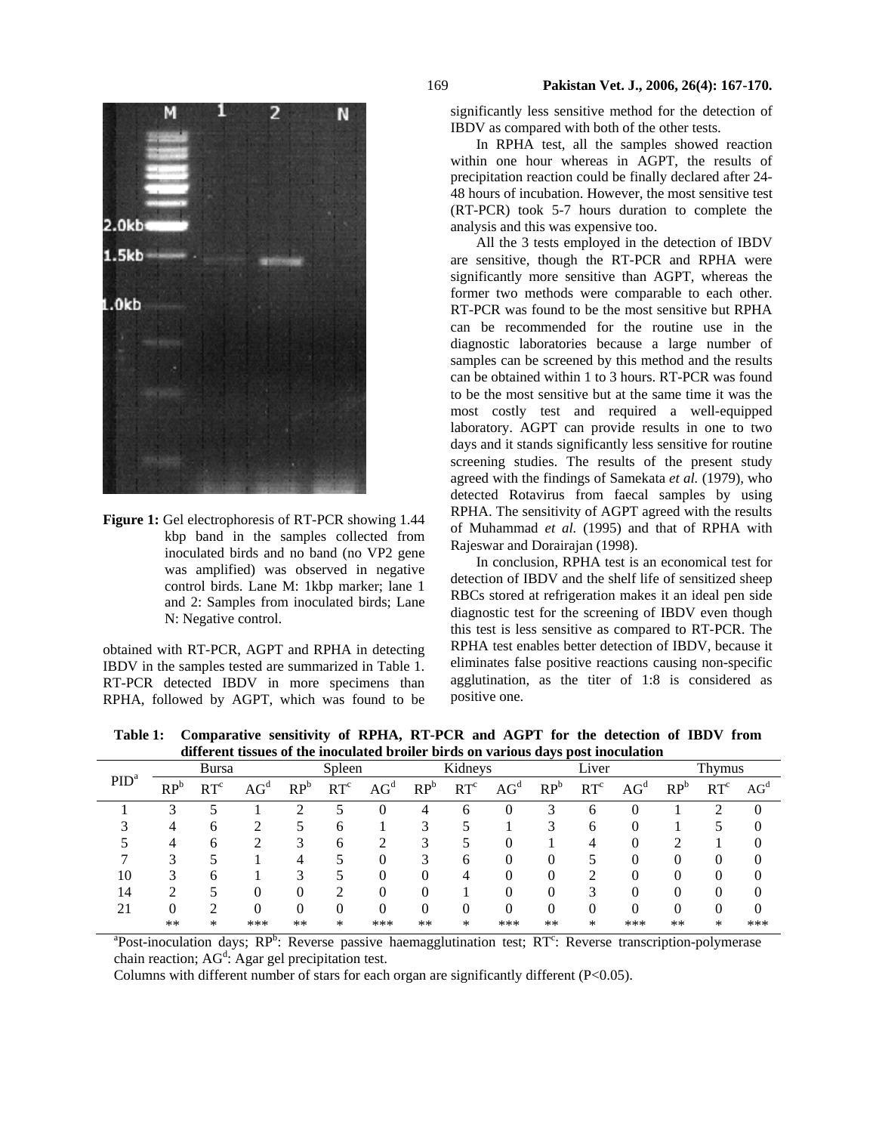

**Figure 1:** Gel electrophoresis of RT-PCR showing 1.44 kbp band in the samples collected from inoculated birds and no band (no VP2 gene was amplified) was observed in negative control birds. Lane M: 1kbp marker; lane 1 and 2: Samples from inoculated birds; Lane N: Negative control.

obtained with RT-PCR, AGPT and RPHA in detecting IBDV in the samples tested are summarized in Table 1. RT-PCR detected IBDV in more specimens than RPHA, followed by AGPT, which was found to be

significantly less sensitive method for the detection of IBDV as compared with both of the other tests.

In RPHA test, all the samples showed reaction within one hour whereas in AGPT, the results of precipitation reaction could be finally declared after 24- 48 hours of incubation. However, the most sensitive test (RT-PCR) took 5-7 hours duration to complete the analysis and this was expensive too.

All the 3 tests employed in the detection of IBDV are sensitive, though the RT-PCR and RPHA were significantly more sensitive than AGPT, whereas the former two methods were comparable to each other. RT-PCR was found to be the most sensitive but RPHA can be recommended for the routine use in the diagnostic laboratories because a large number of samples can be screened by this method and the results can be obtained within 1 to 3 hours. RT-PCR was found to be the most sensitive but at the same time it was the most costly test and required a well-equipped laboratory. AGPT can provide results in one to two days and it stands significantly less sensitive for routine screening studies. The results of the present study agreed with the findings of Samekata *et al.* (1979), who detected Rotavirus from faecal samples by using RPHA. The sensitivity of AGPT agreed with the results of Muhammad *et al.* (1995) and that of RPHA with Rajeswar and Dorairajan (1998).

In conclusion, RPHA test is an economical test for detection of IBDV and the shelf life of sensitized sheep RBCs stored at refrigeration makes it an ideal pen side diagnostic test for the screening of IBDV even though this test is less sensitive as compared to RT-PCR. The RPHA test enables better detection of IBDV, because it eliminates false positive reactions causing non-specific agglutination, as the titer of 1:8 is considered as positive one.

| PID <sup>a</sup> | <b>Bursa</b> |                 |             | Spleen          |                 |                 | Kidneys         |                 |             | Liver           |                 |             | Thymus          |                 |                 |
|------------------|--------------|-----------------|-------------|-----------------|-----------------|-----------------|-----------------|-----------------|-------------|-----------------|-----------------|-------------|-----------------|-----------------|-----------------|
|                  | $RP^b$       | RT <sup>c</sup> | $\rm{AG}^d$ | RP <sup>b</sup> | RT <sup>c</sup> | AG <sup>d</sup> | RP <sup>b</sup> | RT <sup>c</sup> | $\rm{AG}^d$ | RP <sup>b</sup> | RT <sup>c</sup> | $\rm{AG}^d$ | RP <sup>b</sup> | RT <sup>c</sup> | AG <sup>d</sup> |
|                  |              |                 |             |                 |                 |                 | 4               | 0               |             |                 | O               |             |                 |                 | $\Omega$        |
|                  |              | h               |             |                 | h               |                 |                 |                 |             |                 | 6               |             |                 |                 |                 |
|                  |              |                 |             |                 | b               |                 |                 |                 |             |                 |                 |             |                 |                 |                 |
|                  | ◠            |                 |             |                 |                 |                 |                 | 0               |             |                 |                 |             |                 | O               |                 |
| 10               |              | h               |             |                 |                 |                 |                 |                 |             |                 |                 |             |                 |                 |                 |
| 14               |              |                 |             |                 |                 |                 |                 |                 |             |                 | ◠               |             |                 | 0               |                 |
| 21               |              |                 |             |                 |                 |                 |                 | 0               | 0           |                 | 0               |             |                 | O               |                 |
|                  | $**$         | *               | ***         | $**$            | *               | ***             | $**$            | *               | ***         | $**$            | ∗               | ***         | $**$            | ∗               | ***             |

**Table 1: Comparative sensitivity of RPHA, RT-PCR and AGPT for the detection of IBDV from different tissues of the inoculated broiler birds on various days post inoculation** 

<sup>a</sup>Post-inoculation days; RP<sup>b</sup>: Reverse passive haemagglutination test; RT<sup>c</sup>: Reverse transcription-polymerase chain reaction;  $AG<sup>d</sup>$ : Agar gel precipitation test.

Columns with different number of stars for each organ are significantly different (P<0.05).